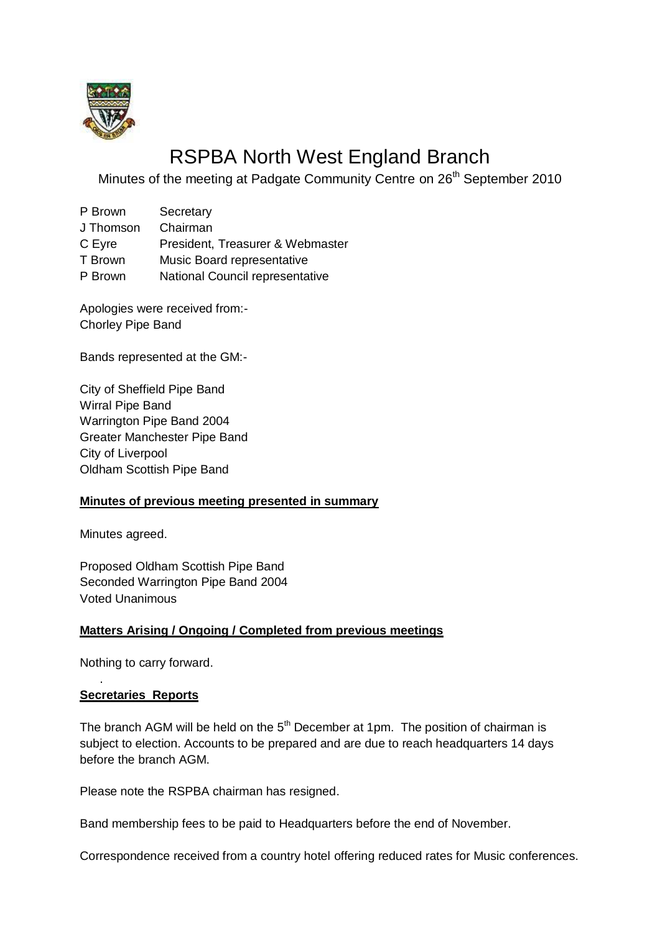

# RSPBA North West England Branch

Minutes of the meeting at Padgate Community Centre on 26<sup>th</sup> September 2010

- P Brown Secretary
- J Thomson Chairman
- C Eyre President, Treasurer & Webmaster
- T Brown Music Board representative
- P Brown National Council representative

Apologies were received from:- Chorley Pipe Band

Bands represented at the GM:-

City of Sheffield Pipe Band Wirral Pipe Band Warrington Pipe Band 2004 Greater Manchester Pipe Band City of Liverpool Oldham Scottish Pipe Band

# **Minutes of previous meeting presented in summary**

Minutes agreed.

Proposed Oldham Scottish Pipe Band Seconded Warrington Pipe Band 2004 Voted Unanimous

#### **Matters Arising / Ongoing / Completed from previous meetings**

Nothing to carry forward.

#### **Secretaries Reports**

.

The branch AGM will be held on the  $5<sup>th</sup>$  December at 1pm. The position of chairman is subject to election. Accounts to be prepared and are due to reach headquarters 14 days before the branch AGM.

Please note the RSPBA chairman has resigned.

Band membership fees to be paid to Headquarters before the end of November.

Correspondence received from a country hotel offering reduced rates for Music conferences.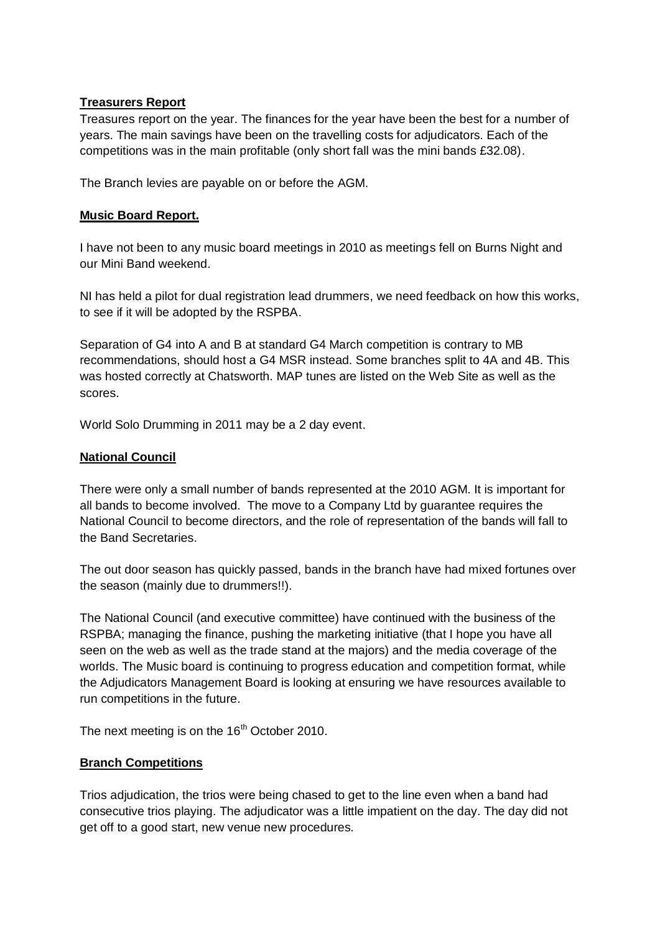### **Treasurers Report**

Treasures report on the year. The finances for the year have been the best for a number of years. The main savings have been on the travelling costs for adjudicators. Each of the competitions was in the main profitable (only short fall was the mini bands £32.08).

The Branch levies are payable on or before the AGM.

### **Music Board Report.**

I have not been to any music board meetings in 2010 as meetings fell on Burns Night and our Mini Band weekend.

NI has held a pilot for dual registration lead drummers, we need feedback on how this works, to see if it will be adopted by the RSPBA.

Separation of G4 into A and B at standard G4 March competition is contrary to MB recommendations, should host a G4 MSR instead. Some branches split to 4A and 4B. This was hosted correctly at Chatsworth. MAP tunes are listed on the Web Site as well as the scores.

World Solo Drumming in 2011 may be a 2 day event.

## **National Council**

There were only a small number of bands represented at the 2010 AGM. It is important for all bands to become involved. The move to a Company Ltd by guarantee requires the National Council to become directors, and the role of representation of the bands will fall to the Band Secretaries.

The out door season has quickly passed, bands in the branch have had mixed fortunes over the season (mainly due to drummers!!).

The National Council (and executive committee) have continued with the business of the RSPBA; managing the finance, pushing the marketing initiative (that I hope you have all seen on the web as well as the trade stand at the majors) and the media coverage of the worlds. The Music board is continuing to progress education and competition format, while the Adjudicators Management Board is looking at ensuring we have resources available to run competitions in the future.

The next meeting is on the  $16<sup>th</sup>$  October 2010.

# **Branch Competitions**

Trios adjudication, the trios were being chased to get to the line even when a band had consecutive trios playing. The adjudicator was a little impatient on the day. The day did not get off to a good start, new venue new procedures.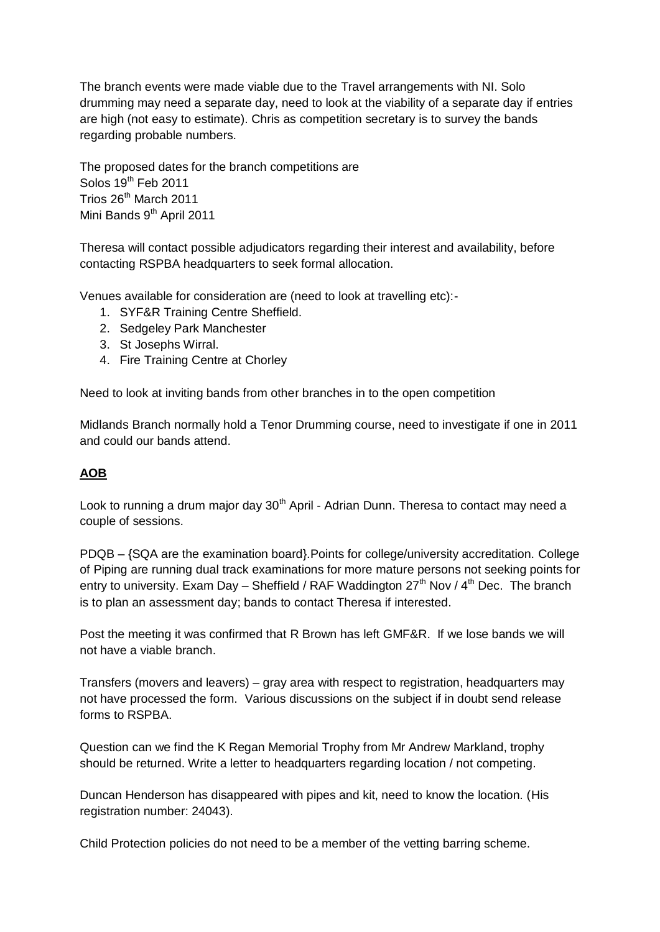The branch events were made viable due to the Travel arrangements with NI. Solo drumming may need a separate day, need to look at the viability of a separate day if entries are high (not easy to estimate). Chris as competition secretary is to survey the bands regarding probable numbers.

The proposed dates for the branch competitions are Solos  $19<sup>th</sup>$  Feb 2011 Trios 26<sup>th</sup> March 2011 Mini Bands 9<sup>th</sup> April 2011

Theresa will contact possible adjudicators regarding their interest and availability, before contacting RSPBA headquarters to seek formal allocation.

Venues available for consideration are (need to look at travelling etc):-

- 1. SYF&R Training Centre Sheffield.
- 2. Sedgeley Park Manchester
- 3. St Josephs Wirral.
- 4. Fire Training Centre at Chorley

Need to look at inviting bands from other branches in to the open competition

Midlands Branch normally hold a Tenor Drumming course, need to investigate if one in 2011 and could our bands attend.

# **AOB**

Look to running a drum major day  $30<sup>th</sup>$  April - Adrian Dunn. Theresa to contact may need a couple of sessions.

PDQB – {SQA are the examination board}.Points for college/university accreditation. College of Piping are running dual track examinations for more mature persons not seeking points for entry to university. Exam Day – Sheffield / RAF Waddington  $27<sup>th</sup>$  Nov /  $4<sup>th</sup>$  Dec. The branch is to plan an assessment day; bands to contact Theresa if interested.

Post the meeting it was confirmed that R Brown has left GMF&R. If we lose bands we will not have a viable branch.

Transfers (movers and leavers) – gray area with respect to registration, headquarters may not have processed the form. Various discussions on the subject if in doubt send release forms to RSPBA.

Question can we find the K Regan Memorial Trophy from Mr Andrew Markland, trophy should be returned. Write a letter to headquarters regarding location / not competing.

Duncan Henderson has disappeared with pipes and kit, need to know the location. (His registration number: 24043).

Child Protection policies do not need to be a member of the vetting barring scheme.